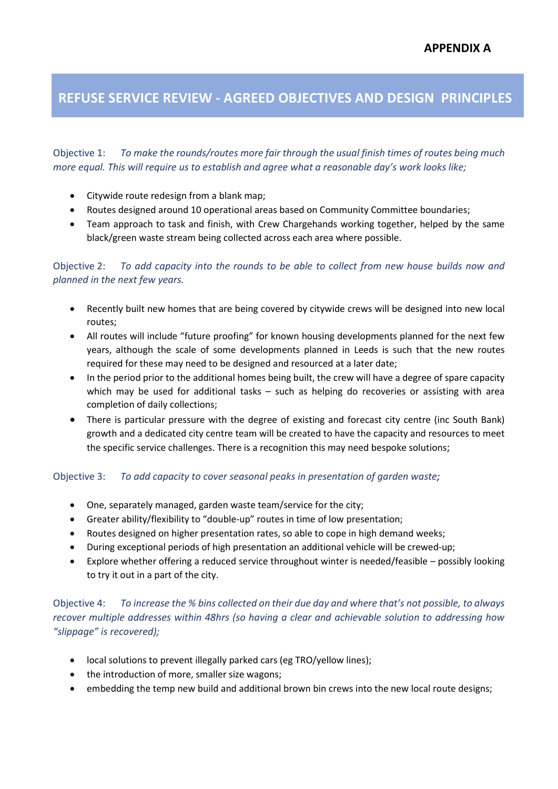# REFUSE SERVICE REVIEW - AGREED OBJECTIVES AND DESIGN PRINCIPLES

Objective 1: To make the rounds/routes more fair through the usual finish times of routes being much more equal. This will require us to establish and agree what a reasonable day's work looks like;

- Citywide route redesign from a blank map;
- Routes designed around 10 operational areas based on Community Committee boundaries;
- Team approach to task and finish, with Crew Chargehands working together, helped by the same black/green waste stream being collected across each area where possible.

#### Objective 2: To add capacity into the rounds to be able to collect from new house builds now and planned in the next few years.

- Recently built new homes that are being covered by citywide crews will be designed into new local routes;
- All routes will include "future proofing" for known housing developments planned for the next few years, although the scale of some developments planned in Leeds is such that the new routes required for these may need to be designed and resourced at a later date;
- In the period prior to the additional homes being built, the crew will have a degree of spare capacity which may be used for additional tasks – such as helping do recoveries or assisting with area completion of daily collections;
- There is particular pressure with the degree of existing and forecast city centre (inc South Bank) growth and a dedicated city centre team will be created to have the capacity and resources to meet the specific service challenges. There is a recognition this may need bespoke solutions;

#### Objective 3: To add capacity to cover seasonal peaks in presentation of garden waste;

- One, separately managed, garden waste team/service for the city;
- Greater ability/flexibility to "double-up" routes in time of low presentation;
- Routes designed on higher presentation rates, so able to cope in high demand weeks;
- During exceptional periods of high presentation an additional vehicle will be crewed-up;
- Explore whether offering a reduced service throughout winter is needed/feasible possibly looking to try it out in a part of the city.

Objective 4: To increase the % bins collected on their due day and where that's not possible, to always recover multiple addresses within 48hrs (so having a clear and achievable solution to addressing how "slippage" is recovered);

- local solutions to prevent illegally parked cars (eg TRO/yellow lines);
- the introduction of more, smaller size wagons;
- embedding the temp new build and additional brown bin crews into the new local route designs;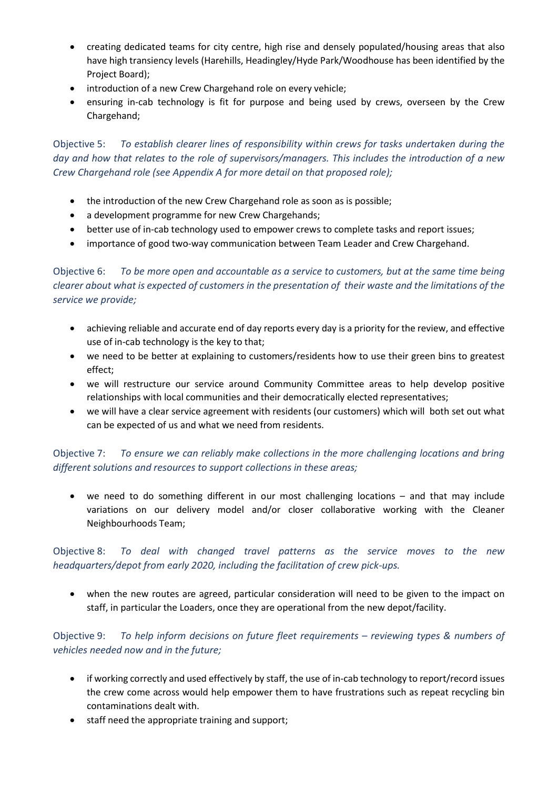- creating dedicated teams for city centre, high rise and densely populated/housing areas that also have high transiency levels (Harehills, Headingley/Hyde Park/Woodhouse has been identified by the Project Board);
- introduction of a new Crew Chargehand role on every vehicle;
- ensuring in-cab technology is fit for purpose and being used by crews, overseen by the Crew Chargehand;

Objective 5: To establish clearer lines of responsibility within crews for tasks undertaken during the day and how that relates to the role of supervisors/managers. This includes the introduction of a new Crew Chargehand role (see Appendix A for more detail on that proposed role);

- the introduction of the new Crew Chargehand role as soon as is possible;
- a development programme for new Crew Chargehands;
- better use of in-cab technology used to empower crews to complete tasks and report issues;
- importance of good two-way communication between Team Leader and Crew Chargehand.

Objective 6: To be more open and accountable as a service to customers, but at the same time being clearer about what is expected of customers in the presentation of their waste and the limitations of the service we provide;

- achieving reliable and accurate end of day reports every day is a priority for the review, and effective use of in-cab technology is the key to that;
- we need to be better at explaining to customers/residents how to use their green bins to greatest effect;
- we will restructure our service around Community Committee areas to help develop positive relationships with local communities and their democratically elected representatives;
- we will have a clear service agreement with residents (our customers) which will both set out what can be expected of us and what we need from residents.

#### Objective 7: To ensure we can reliably make collections in the more challenging locations and bring different solutions and resources to support collections in these areas;

 we need to do something different in our most challenging locations – and that may include variations on our delivery model and/or closer collaborative working with the Cleaner Neighbourhoods Team;

#### Objective 8: To deal with changed travel patterns as the service moves to the new headquarters/depot from early 2020, including the facilitation of crew pick-ups.

 when the new routes are agreed, particular consideration will need to be given to the impact on staff, in particular the Loaders, once they are operational from the new depot/facility.

#### Objective 9: To help inform decisions on future fleet requirements – reviewing types & numbers of vehicles needed now and in the future;

- if working correctly and used effectively by staff, the use of in-cab technology to report/record issues the crew come across would help empower them to have frustrations such as repeat recycling bin contaminations dealt with.
- staff need the appropriate training and support;